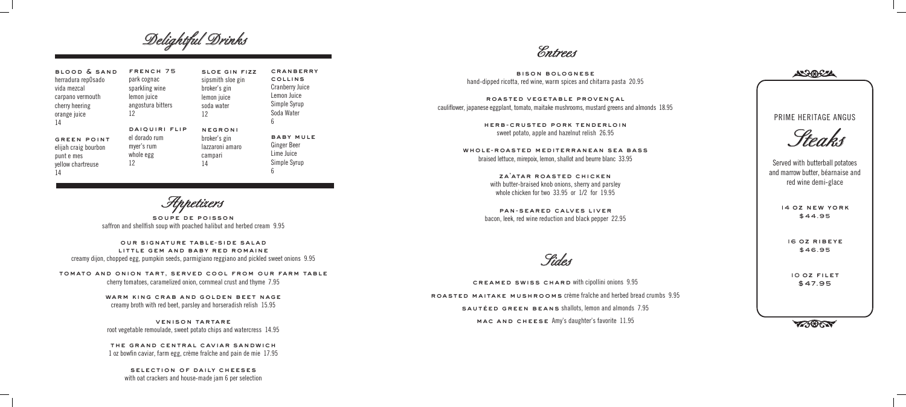bison bolognese hand-dipped ricotta, red wine, warm spices and chitarra pasta 20.95

roasted vegetable provençal cauliflower, japanese eggplant, tomato, maitake mushrooms, mustard greens and almonds 18.95

> herb - crusted pork tenderloin sweet potato, apple and hazelnut relish 26.95

ZA'ATAR ROASTED CHICKEN with butter-braised knob onions, sherry and parsley whole chicken for two 33.95 or 1/2 for 19.95

whole-roasted mediterranean sea bass braised lettuce, mirepoix, lemon, shallot and beurre blanc 33.95

> pan-seared calves liver bacon, leek, red wine reduction and black pepper 22.95

*Entrees*

*Appetizers*

soupe de poisson saffron and shellfish soup with poached halibut and herbed cream 9.95

> SELECTION OF DAILY CHEESES with oat crackers and house-made jam 6 per selection

our signature table-side salad little gem and baby red romaine

FRENCH 75 park cognac sparkling wine lemon juice angostura bitters 12

creamy dijon, chopped egg, pumpkin seeds, parmigiano reggiano and pickled sweet onions 9.95

**CRANBERRY** collins Cranberry Juice Lemon Juice Simple Syrup Soda Water 6

SLOE GIN FIZZ sipsmith sloe gin broker's gin

tomato and onion tart, served cool from our farm table cherry tomatoes, caramelized onion, cornmeal crust and thyme 7.95

> warm king crab and golden beet nage creamy broth with red beet, parsley and horseradish relish 15.95

> venison tartare root vegetable remoulade, sweet potato chips and watercress 14.95

the grand central caviar sandwich 1 oz bowfin caviar, farm egg, crème fraîche and pain de mie 17.95

blood & sand herradura rep0sado vida mezcal carpano vermouth

cherry heering

orange juice 14

green point elijah craig bourbon punt e mes yellow chartreuse

14

daiquiri flip el dorado rum myer's rum

whole egg 12

baby mule Ginger Beer Lime Juice Simple Syrup 6

lemon juice soda water 12 negroni broker's gin lazzaroni amaro

> campari 14

*Delightful Drinks* 

*Steaks*

PRIME HERITAGE ANGUS

Served with butterball potatoes and marrow butter, béarnaise and red wine demi-glace

> 14 oz new york \$44.95

16 oz ribeye \$46.95

10 oz filet



creamed swiss chard with cipollini onions 9.95 \$47.95 roasted maitake mushrooms crème fraîche and herbed bread crumbs 9.95 sautéed green beans shallots, lemon and almonds 7.95

mac and cheese Amy's daughter's favorite 11.95

*Sides*

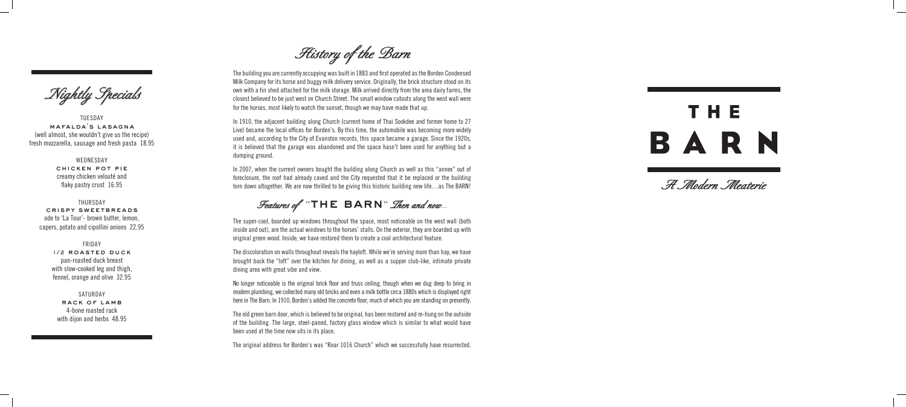TUESDAY mafalda's lasagna (well almost, she wouldn't give us the recipe) fresh mozzarella, sausage and fresh pasta 18.95

> WEDNESDAY chicken pot pie creamy chicken velouté and flaky pastry crust 16.95

#### THURSDAY

crispy sweetbreads ode to 'La Tour'- brown butter, lemon, capers, potato and cipollini onions 22.95

### FRIDAY

1/2 roasted duck pan-roasted duck breast with slow-cooked leg and thigh, fennel, orange and olive 32.95

SATURDAY rack of lamb 4-bone roasted rack with dijon and herbs 48.95

*Nightly Specials*

The building you are currently occupying was built in 1883 and first operated as the Borden Condensed Milk Company for its horse and buggy milk delivery service. Originally, the brick structure stood on its own with a tin shed attached for the milk storage. Milk arrived directly from the area dairy farms, the closest believed to be just west on Church Street. The small window cutouts along the west wall were for the horses, most likely to watch the sunset, though we may have made that up.

In 1910, the adjacent building along Church (current home of Thai Sookdee and former home to 27 Live) became the local offices for Borden's. By this time, the automobile was becoming more widely used and, according to the City of Evanston records, this space became a garage. Since the 1920s, it is believed that the garage was abandoned and the space hasn't been used for anything but a dumping ground.

In 2007, when the current owners bought the building along Church as well as this "annex" out of foreclosure, the roof had already caved and the City requested that it be replaced or the building torn down altogether. We are now thrilled to be giving this historic building new life…as The BARN!

## Features of "THE BARN" *Then and now*

The super-cool, boarded up windows throughout the space, most noticeable on the west wall (both inside and out), are the actual windows to the horses' stalls. On the exterior, they are boarded up with original green wood. Inside, we have restored them to create a cool architectural feature.

The discoloration on walls throughout reveals the hayloft. While we're serving more than hay, we have brought back the "loft" over the kitchen for dining, as well as a supper club-like, intimate private dining area with great vibe and view.

No longer noticeable is the original brick floor and truss ceiling, though when we dug deep to bring in modern plumbing, we collected many old bricks and even a milk bottle circa 1880s which is displayed right here in The Barn. In 1910, Borden's added the concrete floor, much of which you are standing on presently.

The old green barn door, which is believed to be original, has been restored and re-hung on the outside of the building. The large, steel-paned, factory glass window which is similar to what would have been used at the time now sits in its place.

The original address for Borden's was "Rear 1016 Church" which we successfully have resurrected.

# THE BARN

*History of the Barn*

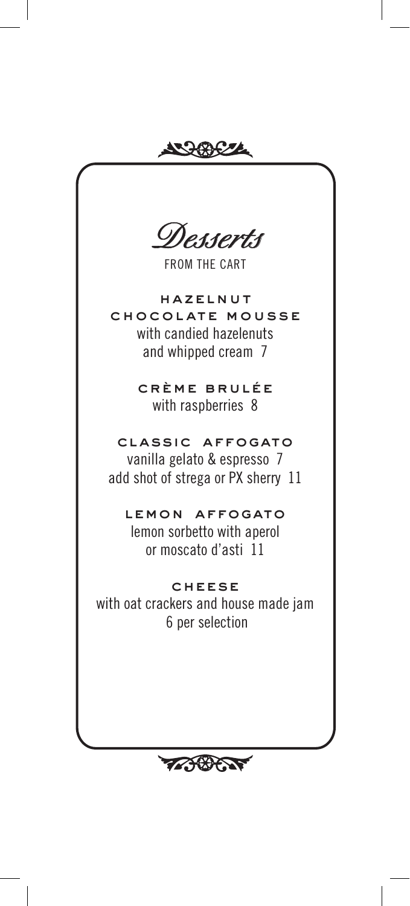**KRACZZE** *Desserts*FROM THE CART hazelnut chocolate mousse with candied hazelenuts and whipped cream 7 creme brulée with raspberries 8 classic affogato vanilla gelato & espresso 7 add shot of strega or PX sherry 11 lemon affogato lemon sorbetto with aperol or moscato d'asti 11 **CHEESE** with oat crackers and house made jam 6 per selection

**TABET**